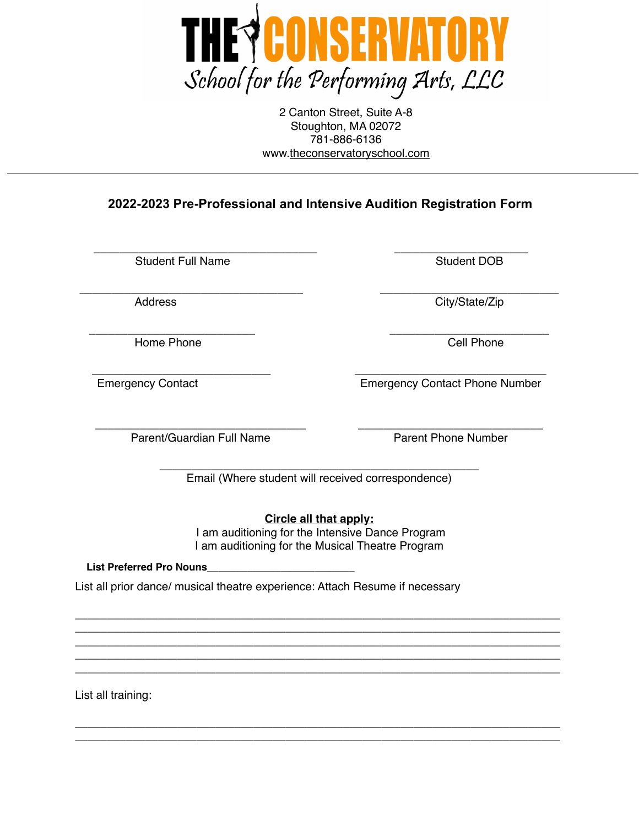

2 Canton Street, Suite A-8 Stoughton, MA 02072 781-886-6136 www.[theconservatoryschool.com](http://theconservatoryschool.com)

**2022-2023 Pre-Professional and Intensive Audition Registration Form** 

\_\_\_\_\_\_\_\_\_\_\_\_\_\_\_\_\_\_\_\_\_\_\_\_\_\_\_\_\_\_\_\_\_\_\_ \_\_\_\_\_\_\_\_\_\_\_\_\_\_\_\_\_\_\_\_\_ Student Full Name Student DOB

Home Phone **Cell Phone** 

\_\_\_\_\_\_\_\_\_\_\_\_\_\_\_\_\_\_\_\_\_\_\_\_\_\_\_\_\_\_\_\_\_\_\_ \_\_\_\_\_\_\_\_\_\_\_\_\_\_\_\_\_\_\_\_\_\_\_\_\_\_\_\_ Address City/State/Zip

\_\_\_\_\_\_\_\_\_\_\_\_\_\_\_\_\_\_\_\_\_\_\_\_\_\_ \_\_\_\_\_\_\_\_\_\_\_\_\_\_\_\_\_\_\_\_\_\_\_\_\_

\_\_\_\_\_\_\_\_\_\_\_\_\_\_\_\_\_\_\_\_\_\_\_\_\_\_\_\_ \_\_\_\_\_\_\_\_\_\_\_\_\_\_\_\_\_\_\_\_\_\_\_\_\_\_\_\_\_\_ Emergency Contact Emergency Contact Phone Number

\_\_\_\_\_\_\_\_\_\_\_\_\_\_\_\_\_\_\_\_\_\_\_\_\_\_\_\_\_\_\_\_\_ \_\_\_\_\_\_\_\_\_\_\_\_\_\_\_\_\_\_\_\_\_\_\_\_\_\_\_\_\_ Parent/Guardian Full Name **Parent Phone Number** 

\_\_\_\_\_\_\_\_\_\_\_\_\_\_\_\_\_\_\_\_\_\_\_\_\_\_\_\_\_\_\_\_\_\_\_\_\_\_\_\_\_\_\_\_\_\_\_\_\_\_ Email (Where student will received correspondence)

**Circle all that apply:**

 I am auditioning for the Intensive Dance Program I am auditioning for the Musical Theatre Program **List Preferred Pro Nouns\_**<br> **List Preferred Pro Nouns\_**<br> **List Preferred Pro Nouns\_**<br> **List Preferred Pro Nouns\_**<br> **List Preferred Pro Nouns\_**<br> **List Preferred Pro Nouns\_**<br> **List Preferred Pro Nouns\_**<br> **List Preferred Pro** 

\_\_\_\_\_\_\_\_\_\_\_\_\_\_\_\_\_\_\_\_\_\_\_\_\_\_\_\_\_\_\_\_\_\_\_\_\_\_\_\_\_\_\_\_\_\_\_\_\_\_\_\_\_\_\_\_\_\_\_\_\_\_\_\_\_\_\_\_\_\_\_\_\_\_\_\_ \_\_\_\_\_\_\_\_\_\_\_\_\_\_\_\_\_\_\_\_\_\_\_\_\_\_\_\_\_\_\_\_\_\_\_\_\_\_\_\_\_\_\_\_\_\_\_\_\_\_\_\_\_\_\_\_\_\_\_\_\_\_\_\_\_\_\_\_\_\_\_\_\_\_\_\_ \_\_\_\_\_\_\_\_\_\_\_\_\_\_\_\_\_\_\_\_\_\_\_\_\_\_\_\_\_\_\_\_\_\_\_\_\_\_\_\_\_\_\_\_\_\_\_\_\_\_\_\_\_\_\_\_\_\_\_\_\_\_\_\_\_\_\_\_\_\_\_\_\_\_\_\_ \_\_\_\_\_\_\_\_\_\_\_\_\_\_\_\_\_\_\_\_\_\_\_\_\_\_\_\_\_\_\_\_\_\_\_\_\_\_\_\_\_\_\_\_\_\_\_\_\_\_\_\_\_\_\_\_\_\_\_\_\_\_\_\_\_\_\_\_\_\_\_\_\_\_\_\_ \_\_\_\_\_\_\_\_\_\_\_\_\_\_\_\_\_\_\_\_\_\_\_\_\_\_\_\_\_\_\_\_\_\_\_\_\_\_\_\_\_\_\_\_\_\_\_\_\_\_\_\_\_\_\_\_\_\_\_\_\_\_\_\_\_\_\_\_\_\_\_\_\_\_\_\_

\_\_\_\_\_\_\_\_\_\_\_\_\_\_\_\_\_\_\_\_\_\_\_\_\_\_\_\_\_\_\_\_\_\_\_\_\_\_\_\_\_\_\_\_\_\_\_\_\_\_\_\_\_\_\_\_\_\_\_\_\_\_\_\_\_\_\_\_\_\_\_\_\_\_\_\_ \_\_\_\_\_\_\_\_\_\_\_\_\_\_\_\_\_\_\_\_\_\_\_\_\_\_\_\_\_\_\_\_\_\_\_\_\_\_\_\_\_\_\_\_\_\_\_\_\_\_\_\_\_\_\_\_\_\_\_\_\_\_\_\_\_\_\_\_\_\_\_\_\_\_\_\_

List all prior dance/ musical theatre experience: Attach Resume if necessary

List all training: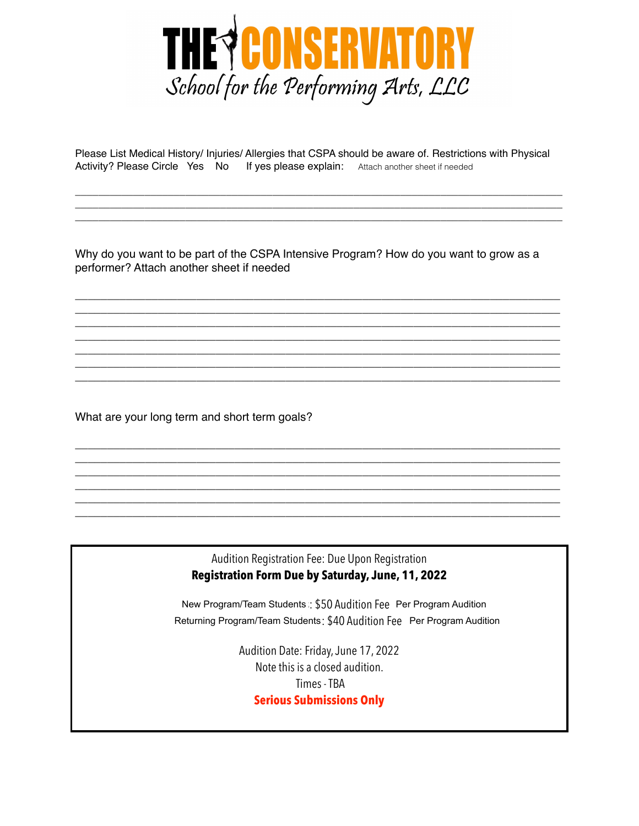

Please List Medical History/ Injuries/ Allergies that CSPA should be aware of. Restrictions with Physical Activity? Please Circle Yes No If yes please explain: Attach another sheet if needed

\_\_\_\_\_\_\_\_\_\_\_\_\_\_\_\_\_\_\_\_\_\_\_\_\_\_\_\_\_\_\_\_\_\_\_\_\_\_\_\_\_\_\_\_\_\_\_\_\_\_\_\_\_\_\_\_\_\_\_\_\_\_\_\_\_\_\_\_\_\_\_\_\_\_\_\_\_\_\_\_\_\_\_\_ \_\_\_\_\_\_\_\_\_\_\_\_\_\_\_\_\_\_\_\_\_\_\_\_\_\_\_\_\_\_\_\_\_\_\_\_\_\_\_\_\_\_\_\_\_\_\_\_\_\_\_\_\_\_\_\_\_\_\_\_\_\_\_\_\_\_\_\_\_\_\_\_\_\_\_\_\_\_\_\_\_\_\_\_ \_\_\_\_\_\_\_\_\_\_\_\_\_\_\_\_\_\_\_\_\_\_\_\_\_\_\_\_\_\_\_\_\_\_\_\_\_\_\_\_\_\_\_\_\_\_\_\_\_\_\_\_\_\_\_\_\_\_\_\_\_\_\_\_\_\_\_\_\_\_\_\_\_\_\_\_\_\_\_\_\_\_\_\_

Why do you want to be part of the CSPA Intensive Program? How do you want to grow as a performer? Attach another sheet if needed

\_\_\_\_\_\_\_\_\_\_\_\_\_\_\_\_\_\_\_\_\_\_\_\_\_\_\_\_\_\_\_\_\_\_\_\_\_\_\_\_\_\_\_\_\_\_\_\_\_\_\_\_\_\_\_\_\_\_\_\_\_\_\_\_\_\_\_\_\_\_\_\_\_\_\_\_ \_\_\_\_\_\_\_\_\_\_\_\_\_\_\_\_\_\_\_\_\_\_\_\_\_\_\_\_\_\_\_\_\_\_\_\_\_\_\_\_\_\_\_\_\_\_\_\_\_\_\_\_\_\_\_\_\_\_\_\_\_\_\_\_\_\_\_\_\_\_\_\_\_\_\_\_ \_\_\_\_\_\_\_\_\_\_\_\_\_\_\_\_\_\_\_\_\_\_\_\_\_\_\_\_\_\_\_\_\_\_\_\_\_\_\_\_\_\_\_\_\_\_\_\_\_\_\_\_\_\_\_\_\_\_\_\_\_\_\_\_\_\_\_\_\_\_\_\_\_\_\_\_ \_\_\_\_\_\_\_\_\_\_\_\_\_\_\_\_\_\_\_\_\_\_\_\_\_\_\_\_\_\_\_\_\_\_\_\_\_\_\_\_\_\_\_\_\_\_\_\_\_\_\_\_\_\_\_\_\_\_\_\_\_\_\_\_\_\_\_\_\_\_\_\_\_\_\_\_ \_\_\_\_\_\_\_\_\_\_\_\_\_\_\_\_\_\_\_\_\_\_\_\_\_\_\_\_\_\_\_\_\_\_\_\_\_\_\_\_\_\_\_\_\_\_\_\_\_\_\_\_\_\_\_\_\_\_\_\_\_\_\_\_\_\_\_\_\_\_\_\_\_\_\_\_ \_\_\_\_\_\_\_\_\_\_\_\_\_\_\_\_\_\_\_\_\_\_\_\_\_\_\_\_\_\_\_\_\_\_\_\_\_\_\_\_\_\_\_\_\_\_\_\_\_\_\_\_\_\_\_\_\_\_\_\_\_\_\_\_\_\_\_\_\_\_\_\_\_\_\_\_ \_\_\_\_\_\_\_\_\_\_\_\_\_\_\_\_\_\_\_\_\_\_\_\_\_\_\_\_\_\_\_\_\_\_\_\_\_\_\_\_\_\_\_\_\_\_\_\_\_\_\_\_\_\_\_\_\_\_\_\_\_\_\_\_\_\_\_\_\_\_\_\_\_\_\_\_

What are your long term and short term goals?

## Audition Registration Fee: Due Upon Registration **Registration Form Due by Saturday, June, 11, 2022**

\_\_\_\_\_\_\_\_\_\_\_\_\_\_\_\_\_\_\_\_\_\_\_\_\_\_\_\_\_\_\_\_\_\_\_\_\_\_\_\_\_\_\_\_\_\_\_\_\_\_\_\_\_\_\_\_\_\_\_\_\_\_\_\_\_\_\_\_\_\_\_\_\_\_\_\_ \_\_\_\_\_\_\_\_\_\_\_\_\_\_\_\_\_\_\_\_\_\_\_\_\_\_\_\_\_\_\_\_\_\_\_\_\_\_\_\_\_\_\_\_\_\_\_\_\_\_\_\_\_\_\_\_\_\_\_\_\_\_\_\_\_\_\_\_\_\_\_\_\_\_\_\_ \_\_\_\_\_\_\_\_\_\_\_\_\_\_\_\_\_\_\_\_\_\_\_\_\_\_\_\_\_\_\_\_\_\_\_\_\_\_\_\_\_\_\_\_\_\_\_\_\_\_\_\_\_\_\_\_\_\_\_\_\_\_\_\_\_\_\_\_\_\_\_\_\_\_\_\_ \_\_\_\_\_\_\_\_\_\_\_\_\_\_\_\_\_\_\_\_\_\_\_\_\_\_\_\_\_\_\_\_\_\_\_\_\_\_\_\_\_\_\_\_\_\_\_\_\_\_\_\_\_\_\_\_\_\_\_\_\_\_\_\_\_\_\_\_\_\_\_\_\_\_\_\_ \_\_\_\_\_\_\_\_\_\_\_\_\_\_\_\_\_\_\_\_\_\_\_\_\_\_\_\_\_\_\_\_\_\_\_\_\_\_\_\_\_\_\_\_\_\_\_\_\_\_\_\_\_\_\_\_\_\_\_\_\_\_\_\_\_\_\_\_\_\_\_\_\_\_\_\_ \_\_\_\_\_\_\_\_\_\_\_\_\_\_\_\_\_\_\_\_\_\_\_\_\_\_\_\_\_\_\_\_\_\_\_\_\_\_\_\_\_\_\_\_\_\_\_\_\_\_\_\_\_\_\_\_\_\_\_\_\_\_\_\_\_\_\_\_\_\_\_\_\_\_\_\_

> New Program/Team Students : \$50 Audition Fee New Program/Team Students ∷ \$50 Audition Fee Per Program Audition<br>Returning Program/Team Students : \$40 Audition Fee Per Program Audition

> > Audition Date: Friday, June 17, 2022 Note this is a closed audition. Times - TBA **Serious Submissions Only**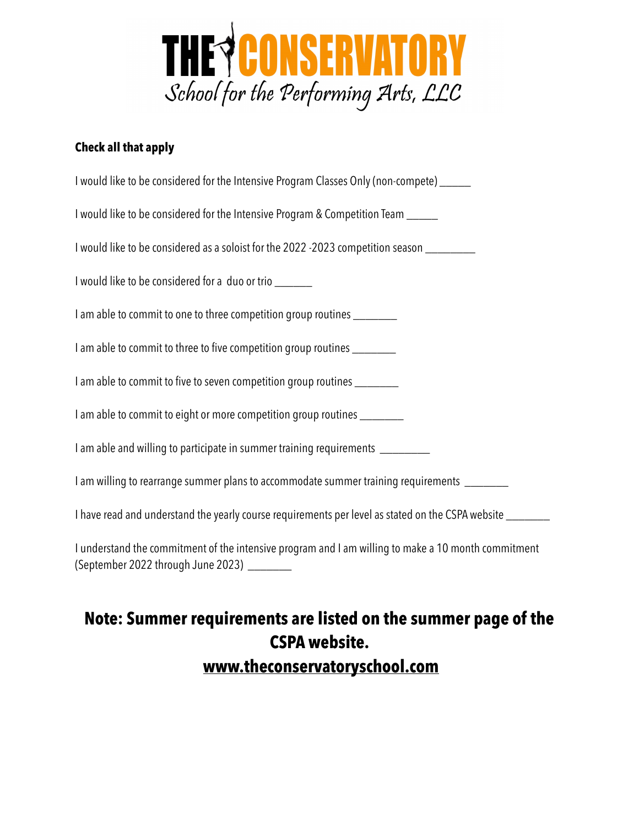

## **Check all that apply**

| I would like to be considered for the Intensive Program Classes Only (non-compete) ______                                                          |
|----------------------------------------------------------------------------------------------------------------------------------------------------|
| I would like to be considered for the Intensive Program & Competition Team _____                                                                   |
| I would like to be considered as a soloist for the 2022 -2023 competition season _________                                                         |
| I would like to be considered for a duo or trio _______                                                                                            |
| I am able to commit to one to three competition group routines ________                                                                            |
| I am able to commit to three to five competition group routines _________                                                                          |
| I am able to commit to five to seven competition group routines ________                                                                           |
| I am able to commit to eight or more competition group routines ________                                                                           |
| I am able and willing to participate in summer training requirements _________                                                                     |
| I am willing to rearrange summer plans to accommodate summer training requirements ________                                                        |
| I have read and understand the yearly course requirements per level as stated on the CSPA website ________                                         |
| I understand the commitment of the intensive program and I am willing to make a 10 month commitment<br>(September 2022 through June 2023) ________ |

# **Note: Summer requirements are listed on the summer page of the CSPA website. [www.theconservatoryschool.com](http://www.theconservatoryschool.com)**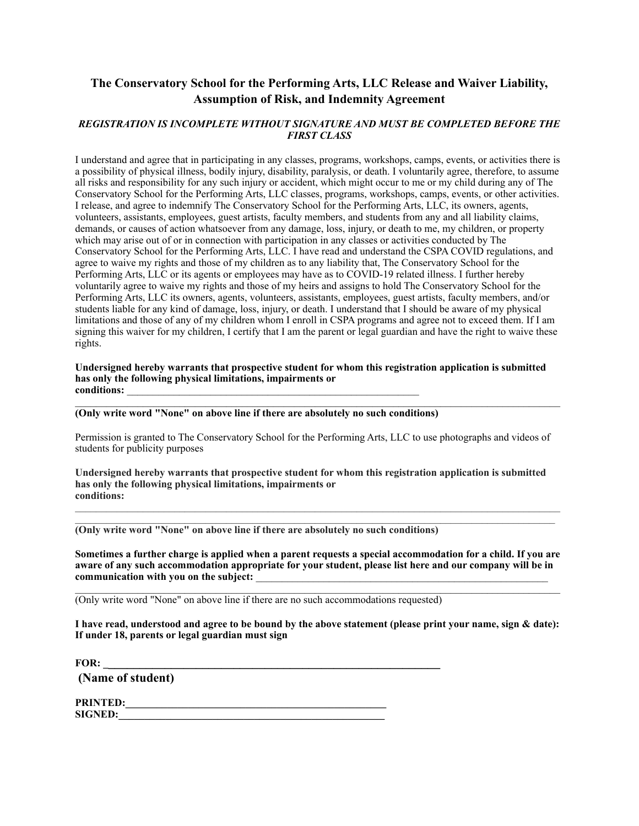## **The Conservatory School for the Performing Arts, LLC Release and Waiver Liability, Assumption of Risk, and Indemnity Agreement**

#### *REGISTRATION IS INCOMPLETE WITHOUT SIGNATURE AND MUST BE COMPLETED BEFORE THE FIRST CLASS*

I understand and agree that in participating in any classes, programs, workshops, camps, events, or activities there is a possibility of physical illness, bodily injury, disability, paralysis, or death. I voluntarily agree, therefore, to assume all risks and responsibility for any such injury or accident, which might occur to me or my child during any of The Conservatory School for the Performing Arts, LLC classes, programs, workshops, camps, events, or other activities. I release, and agree to indemnify The Conservatory School for the Performing Arts, LLC, its owners, agents, volunteers, assistants, employees, guest artists, faculty members, and students from any and all liability claims, demands, or causes of action whatsoever from any damage, loss, injury, or death to me, my children, or property which may arise out of or in connection with participation in any classes or activities conducted by The Conservatory School for the Performing Arts, LLC. I have read and understand the CSPA COVID regulations, and agree to waive my rights and those of my children as to any liability that, The Conservatory School for the Performing Arts, LLC or its agents or employees may have as to COVID-19 related illness. I further hereby voluntarily agree to waive my rights and those of my heirs and assigns to hold The Conservatory School for the Performing Arts, LLC its owners, agents, volunteers, assistants, employees, guest artists, faculty members, and/or students liable for any kind of damage, loss, injury, or death. I understand that I should be aware of my physical limitations and those of any of my children whom I enroll in CSPA programs and agree not to exceed them. If I am signing this waiver for my children, I certify that I am the parent or legal guardian and have the right to waive these rights.

#### **Undersigned hereby warrants that prospective student for whom this registration application is submitted has only the following physical limitations, impairments or**  conditions:

**(Only write word "None" on above line if there are absolutely no such conditions)** 

Permission is granted to The Conservatory School for the Performing Arts, LLC to use photographs and videos of students for publicity purposes

**Undersigned hereby warrants that prospective student for whom this registration application is submitted has only the following physical limitations, impairments or conditions:** 

**(Only write word "None" on above line if there are absolutely no such conditions)** 

**Sometimes a further charge is applied when a parent requests a special accommodation for a child. If you are aware of any such accommodation appropriate for your student, please list here and our company will be in**  communication with you on the subject:

 $\mathcal{L}_\mathcal{L} = \{ \mathcal{L}_\mathcal{L} = \{ \mathcal{L}_\mathcal{L} = \{ \mathcal{L}_\mathcal{L} = \{ \mathcal{L}_\mathcal{L} = \{ \mathcal{L}_\mathcal{L} = \{ \mathcal{L}_\mathcal{L} = \{ \mathcal{L}_\mathcal{L} = \{ \mathcal{L}_\mathcal{L} = \{ \mathcal{L}_\mathcal{L} = \{ \mathcal{L}_\mathcal{L} = \{ \mathcal{L}_\mathcal{L} = \{ \mathcal{L}_\mathcal{L} = \{ \mathcal{L}_\mathcal{L} = \{ \mathcal{L}_\mathcal{$ 

(Only write word "None" on above line if there are no such accommodations requested)

**I have read, understood and agree to be bound by the above statement (please print your name, sign & date): If under 18, parents or legal guardian must sign** 

**FOR: \_\_\_\_\_\_\_\_\_\_\_\_\_\_\_\_\_\_\_\_\_\_\_\_\_\_\_\_\_\_\_\_\_\_\_\_\_\_\_\_\_\_\_\_\_\_\_\_\_\_\_\_\_\_** 

 **(Name of student)** 

**PRINTED:\_\_\_\_\_\_\_\_\_\_\_\_\_\_\_\_\_\_\_\_\_\_\_\_\_\_\_\_\_\_\_\_\_\_\_\_\_\_\_\_\_\_\_\_\_\_\_\_\_\_ SIGNED:**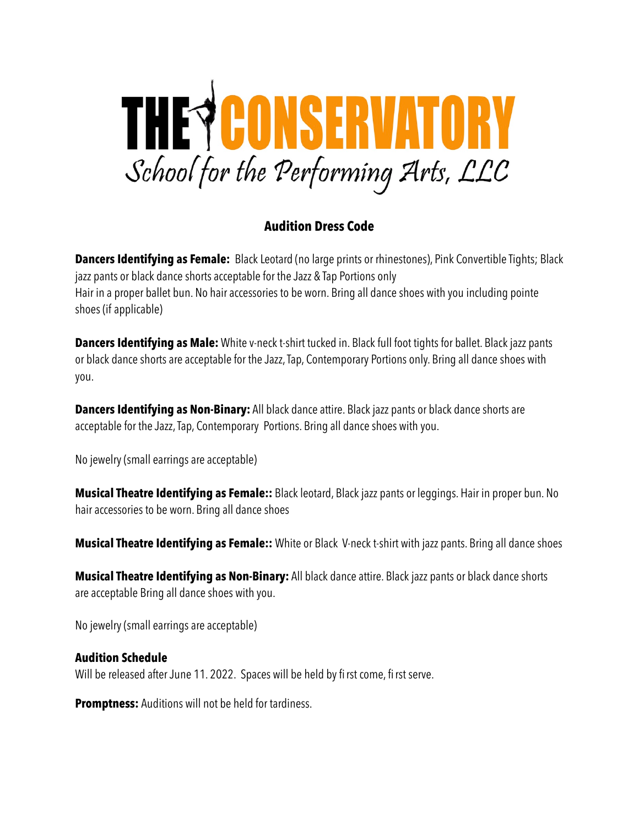

## **Audition Dress Code**

**Dancers Identifying as Female:** Black Leotard (no large prints or rhinestones), Pink Convertible Tights; Black jazz pants or black dance shorts acceptable for the Jazz & Tap Portions only Hair in a proper ballet bun. No hair accessories to be worn. Bring all dance shoes with you including pointe shoes (if applicable)

**Dancers Identifying as Male:** White v-neck t-shirt tucked in. Black full foot tights for ballet. Black jazz pants or black dance shorts are acceptable for the Jazz, Tap, Contemporary Portions only. Bring all dance shoes with you.

**Dancers Identifying as Non-Binary:** All black dance attire. Black jazz pants or black dance shorts are acceptable for the Jazz, Tap, Contemporary Portions. Bring all dance shoes with you.

No jewelry (small earrings are acceptable)

**Musical Theatre Identifying as Female::** Black leotard, Black jazz pants or leggings. Hair in proper bun. No hair accessories to be worn. Bring all dance shoes

**Musical Theatre Identifying as Female::** White or Black V-neck t-shirt with jazz pants. Bring all dance shoes

**Musical Theatre Identifying as Non-Binary:** All black dance attire. Black jazz pants or black dance shorts are acceptable Bring all dance shoes with you.

No jewelry (small earrings are acceptable)

## **Audition Schedule**

Will be released after June 11. 2022. Spaces will be held by fi rst come, fi rst serve.

**Promptness:** Auditions will not be held for tardiness.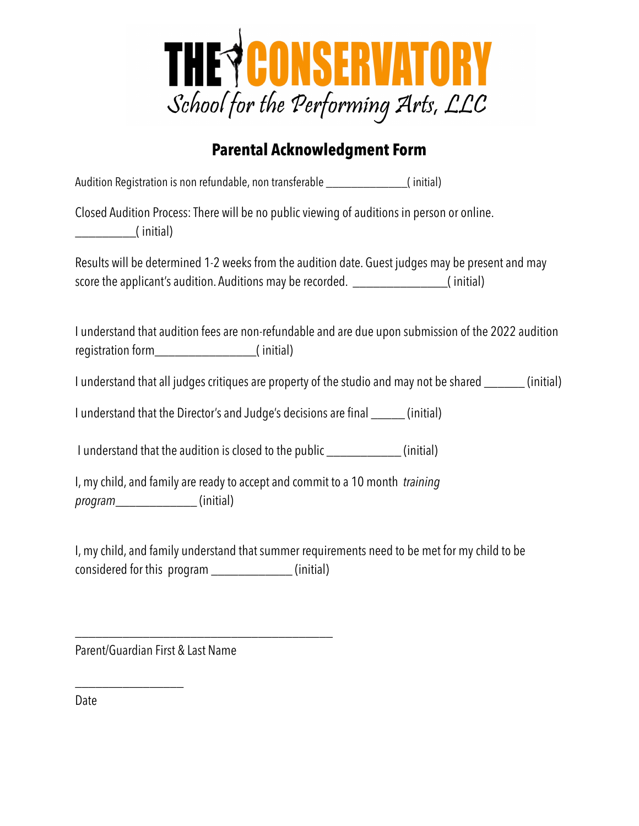

## **Parental Acknowledgment Form**

Audition Registration is non refundable, non transferable \_\_\_\_\_\_\_\_\_\_\_\_\_( initial)

Closed Audition Process: There will be no public viewing of auditions in person or online. \_\_\_\_\_\_\_\_\_( initial)

Results will be determined 1-2 weeks from the audition date. Guest judges may be present and may score the applicant's audition. Auditions may be recorded. \_\_\_\_\_\_\_\_\_\_\_\_\_\_\_( initial)

I understand that audition fees are non-refundable and are due upon submission of the 2022 audition registration form\_\_\_\_\_\_\_\_\_\_\_\_\_\_\_( initial)

I understand that all judges critiques are property of the studio and may not be shared \_\_\_\_\_\_ (initial)

I understand that the Director's and Judge's decisions are final \_\_\_\_\_ (initial)

I understand that the audition is closed to the public \_\_\_\_\_\_\_\_\_\_\_ (initial)

I, my child, and family are ready to accept and commit to a 10 month *training program*\_\_\_\_\_\_\_\_\_\_\_\_ (initial)

I, my child, and family understand that summer requirements need to be met for my child to be considered for this program \_\_\_\_\_\_\_\_\_\_\_\_ (initial)

Parent/Guardian First & Last Name

\_\_\_\_\_\_\_\_\_\_\_\_\_\_\_\_

\_\_\_\_\_\_\_\_\_\_\_\_\_\_\_\_\_\_\_\_\_\_\_\_\_\_\_\_\_\_\_\_\_\_\_\_\_\_

Date